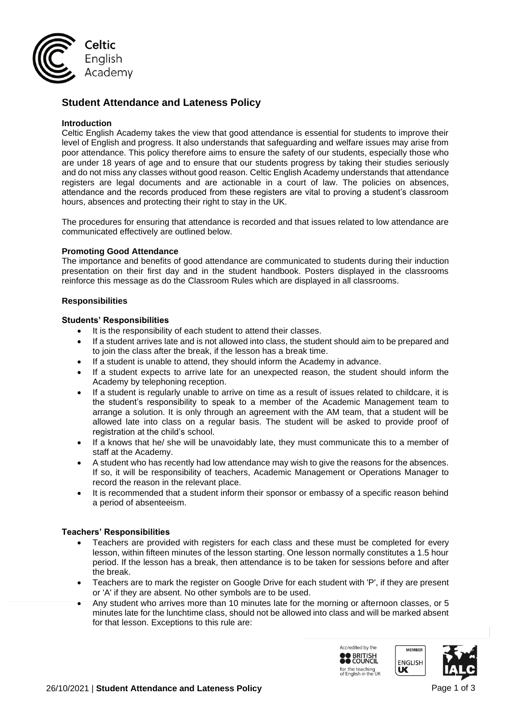

# **Student Attendance and Lateness Policy**

### **Introduction**

Celtic English Academy takes the view that good attendance is essential for students to improve their level of English and progress. It also understands that safeguarding and welfare issues may arise from poor attendance. This policy therefore aims to ensure the safety of our students, especially those who are under 18 years of age and to ensure that our students progress by taking their studies seriously and do not miss any classes without good reason. Celtic English Academy understands that attendance registers are legal documents and are actionable in a court of law. The policies on absences, attendance and the records produced from these registers are vital to proving a student's classroom hours, absences and protecting their right to stay in the UK.

The procedures for ensuring that attendance is recorded and that issues related to low attendance are communicated effectively are outlined below.

### **Promoting Good Attendance**

The importance and benefits of good attendance are communicated to students during their induction presentation on their first day and in the student handbook. Posters displayed in the classrooms reinforce this message as do the Classroom Rules which are displayed in all classrooms.

### **Responsibilities**

### **Students' Responsibilities**

- It is the responsibility of each student to attend their classes.
- If a student arrives late and is not allowed into class, the student should aim to be prepared and to join the class after the break, if the lesson has a break time.
- If a student is unable to attend, they should inform the Academy in advance.
- If a student expects to arrive late for an unexpected reason, the student should inform the Academy by telephoning reception.
- If a student is regularly unable to arrive on time as a result of issues related to childcare, it is the student's responsibility to speak to a member of the Academic Management team to arrange a solution. It is only through an agreement with the AM team, that a student will be allowed late into class on a regular basis. The student will be asked to provide proof of registration at the child's school.
- If a knows that he/ she will be unavoidably late, they must communicate this to a member of staff at the Academy.
- A student who has recently had low attendance may wish to give the reasons for the absences. If so, it will be responsibility of teachers, Academic Management or Operations Manager to record the reason in the relevant place.
- It is recommended that a student inform their sponsor or embassy of a specific reason behind a period of absenteeism.

# **Teachers' Responsibilities**

- Teachers are provided with registers for each class and these must be completed for every lesson, within fifteen minutes of the lesson starting. One lesson normally constitutes a 1.5 hour period. If the lesson has a break, then attendance is to be taken for sessions before and after the break.
- Teachers are to mark the register on Google Drive for each student with 'P', if they are present or 'A' if they are absent. No other symbols are to be used.
- Any student who arrives more than 10 minutes late for the morning or afternoon classes, or 5 minutes late for the lunchtime class, should not be allowed into class and will be marked absent for that lesson. Exceptions to this rule are:

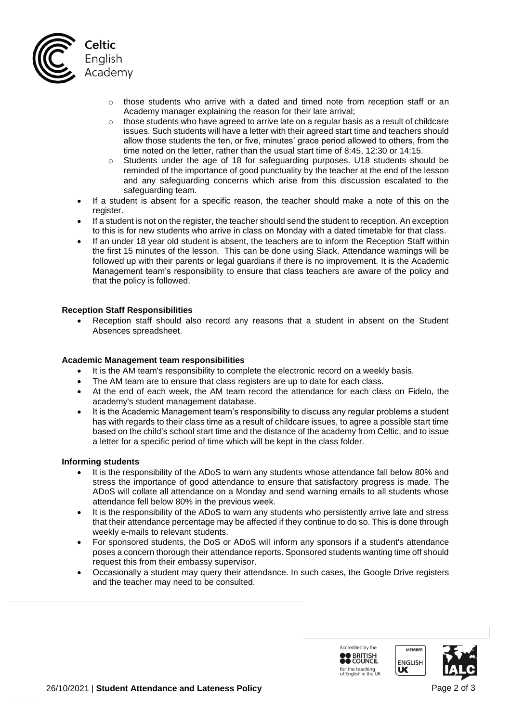

- $\circ$  those students who arrive with a dated and timed note from reception staff or an Academy manager explaining the reason for their late arrival;
- o those students who have agreed to arrive late on a regular basis as a result of childcare issues. Such students will have a letter with their agreed start time and teachers should allow those students the ten, or five, minutes' grace period allowed to others, from the time noted on the letter, rather than the usual start time of 8:45, 12:30 or 14:15.
- o Students under the age of 18 for safeguarding purposes. U18 students should be reminded of the importance of good punctuality by the teacher at the end of the lesson and any safeguarding concerns which arise from this discussion escalated to the safeguarding team.
- If a student is absent for a specific reason, the teacher should make a note of this on the register.
- If a student is not on the register, the teacher should send the student to reception. An exception to this is for new students who arrive in class on Monday with a dated timetable for that class.
- If an under 18 year old student is absent, the teachers are to inform the Reception Staff within the first 15 minutes of the lesson. This can be done using Slack. Attendance warnings will be followed up with their parents or legal guardians if there is no improvement. It is the Academic Management team's responsibility to ensure that class teachers are aware of the policy and that the policy is followed.

# **Reception Staff Responsibilities**

Reception staff should also record any reasons that a student in absent on the Student Absences spreadsheet.

### **Academic Management team responsibilities**

- It is the AM team's responsibility to complete the electronic record on a weekly basis.
- The AM team are to ensure that class registers are up to date for each class.
- At the end of each week, the AM team record the attendance for each class on Fidelo, the academy's student management database.
- It is the Academic Management team's responsibility to discuss any regular problems a student has with regards to their class time as a result of childcare issues, to agree a possible start time based on the child's school start time and the distance of the academy from Celtic, and to issue a letter for a specific period of time which will be kept in the class folder.

### **Informing students**

- It is the responsibility of the ADoS to warn any students whose attendance fall below 80% and stress the importance of good attendance to ensure that satisfactory progress is made. The ADoS will collate all attendance on a Monday and send warning emails to all students whose attendance fell below 80% in the previous week.
- It is the responsibility of the ADoS to warn any students who persistently arrive late and stress that their attendance percentage may be affected if they continue to do so. This is done through weekly e-mails to relevant students.
- For sponsored students, the DoS or ADoS will inform any sponsors if a student's attendance poses a concern thorough their attendance reports. Sponsored students wanting time off should request this from their embassy supervisor.
- Occasionally a student may query their attendance. In such cases, the Google Drive registers and the teacher may need to be consulted.